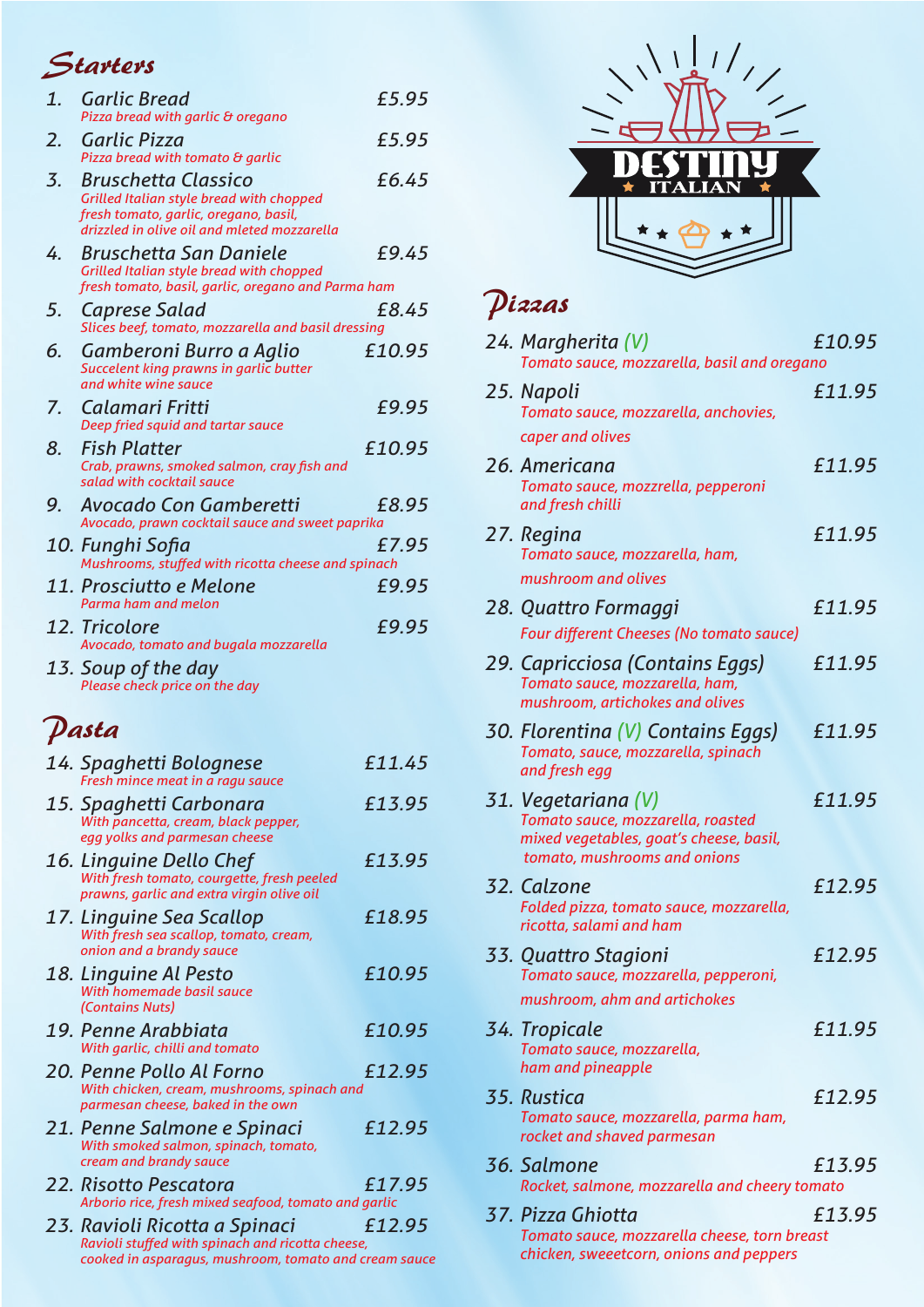## Starters

| 1. | <b>Garlic Bread</b><br>Pizza bread with garlic & oregano                                                                                                                       | £5.95  |
|----|--------------------------------------------------------------------------------------------------------------------------------------------------------------------------------|--------|
| 2. | Garlic Pizza<br>Pizza bread with tomato & garlic                                                                                                                               | £5.95  |
| 3. | <b>Bruschetta Classico</b><br>Grilled Italian style bread with chopped<br>fresh tomato, garlic, oregano, basil,                                                                | £6.45  |
| 4. | drizzled in olive oil and mleted mozzarella<br><b>Bruschetta San Daniele</b><br>Grilled Italian style bread with chopped<br>fresh tomato, basil, garlic, oregano and Parma ham | £9.45  |
| 5. | Caprese Salad<br>Slices beef, tomato, mozzarella and basil dressing                                                                                                            | £8.45  |
| 6. | Gamberoni Burro a Aglio<br>Succelent king prawns in garlic butter<br>and white wine sauce                                                                                      | £10.95 |
| 7. | Calamari Fritti<br>Deep fried squid and tartar sauce                                                                                                                           | £9.95  |
| 8. | <b>Fish Platter</b><br>Crab, prawns, smoked salmon, cray fish and<br>salad with cocktail sauce                                                                                 | £10.95 |
| 9. | Avocado Con Gamberetti<br>Avocado, prawn cocktail sauce and sweet paprika                                                                                                      | £8.95  |
|    | 10. Funghi Sofia<br>Mushrooms, stuffed with ricotta cheese and spinach                                                                                                         | £7.95  |
|    | 11. Prosciutto e Melone<br>Parma ham and melon                                                                                                                                 | £9.95  |
|    | 12. Tricolore<br>Avocado, tomato and bugala mozzarella                                                                                                                         | £9.95  |
|    |                                                                                                                                                                                |        |
|    | 13. Soup of the day<br>Please check price on the day                                                                                                                           |        |
|    | Pasta                                                                                                                                                                          |        |
|    | 14. Spaghetti Bolognese                                                                                                                                                        | £11.45 |
|    | Fresh mince meat in a ragu sauce<br>15. Spaghetti Carbonara<br>With pancetta, cream, black pepper,<br>egg yolks and parmesan cheese                                            | £13.95 |
|    | 16. Linguine Dello Chef<br>With fresh tomato, courgette, fresh peeled<br>prawns, garlic and extra virgin olive oil                                                             | £13.95 |
|    | 17. Linguine Sea Scallop<br>With fresh sea scallop, tomato, cream,<br>onion and a brandy sauce                                                                                 | £18.95 |
|    | 18. Linguine Al Pesto<br>With homemade basil sauce<br>(Contains Nuts)                                                                                                          | £10.95 |
|    | 19. Penne Arabbiata<br>With garlic, chilli and tomato                                                                                                                          | £10.95 |
|    | 20. Penne Pollo Al Forno<br>With chicken, cream, mushrooms, spinach and<br>parmesan cheese, baked in the own                                                                   | £12.95 |
|    | 21. Penne Salmone e Spinaci<br>With smoked salmon, spinach, tomato,<br>cream and brandy sauce                                                                                  | £12.95 |
|    | 22. Risotto Pescatora<br>Arborio rice, fresh mixed seafood, tomato and garlic                                                                                                  | £17.95 |

*cooked in asparagus, mushroom, tomato and cream sauce*



## Pizzas

| 24. Margherita (V)<br>Tomato sauce, mozzarella, basil and oregano                                                                   | £10.95 |
|-------------------------------------------------------------------------------------------------------------------------------------|--------|
| 25. Napoli<br>Tomato sauce, mozzarella, anchovies,<br>caper and olives                                                              | £11.95 |
| 26. Americana<br>Tomato sauce, mozzrella, pepperoni<br>and fresh chilli                                                             | £11.95 |
| 27. Regina<br>Tomato sauce, mozzarella, ham,<br>mushroom and olives                                                                 | £11.95 |
| 28. Quattro Formaggi<br><b>Four different Cheeses (No tomato sauce)</b>                                                             | £11.95 |
| 29. Capricciosa (Contains Eggs)<br>Tomato sauce, mozzarella, ham,<br>mushroom, artichokes and olives                                | £11.95 |
| 30. Florentina (V) Contains Eggs)<br>Tomato, sauce, mozzarella, spinach<br>and fresh egg                                            | £11.95 |
| 31. Vegetariana (V)<br>Tomato sauce, mozzarella, roasted<br>mixed vegetables, goat's cheese, basil,<br>tomato, mushrooms and onions | £11.95 |
| 32. Calzone<br>Folded pizza, tomato sauce, mozzarella,<br>ricotta, salami and ham                                                   | £12.95 |
| 33. Quattro Stagioni<br>Tomato sauce, mozzarella, pepperoni,<br>mushroom, ahm and artichokes                                        | £12.95 |
| 34. Tropicale<br>Tomato sauce, mozzarella,<br>ham and pineapple                                                                     | £11.95 |
| 35. Rustica<br>Tomato sauce, mozzarella, parma ham,<br>rocket and shaved parmesan                                                   | £12.95 |
| 36. Salmone<br>Rocket, salmone, mozzarella and cheery tomato                                                                        | £13.95 |
| 37. Pizza Ghiotta<br>Tomato sauce, mozzarella cheese, torn breast<br>chicken, sweeetcorn, onions and peppers                        | £13.95 |